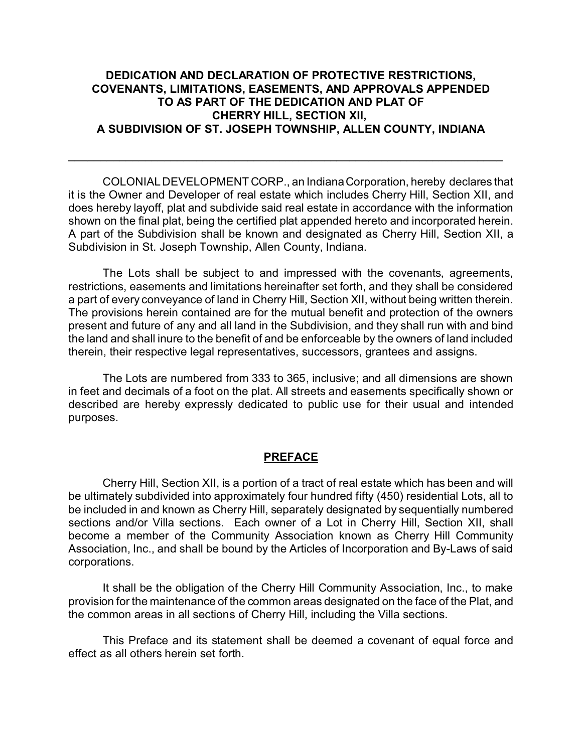## **DEDICATION AND DECLARATION OF PROTECTIVE RESTRICTIONS, COVENANTS, LIMITATIONS, EASEMENTS, AND APPROVALS APPENDED TO AS PART OF THE DEDICATION AND PLAT OF CHERRY HILL, SECTION XII, A SUBDIVISION OF ST. JOSEPH TOWNSHIP, ALLEN COUNTY, INDIANA**

\_\_\_\_\_\_\_\_\_\_\_\_\_\_\_\_\_\_\_\_\_\_\_\_\_\_\_\_\_\_\_\_\_\_\_\_\_\_\_\_\_\_\_\_\_\_\_\_\_\_\_\_\_\_\_\_\_\_\_\_\_\_\_\_\_\_\_\_

COLONIAL DEVELOPMENT CORP., an Indiana Corporation, hereby declares that it is the Owner and Developer of real estate which includes Cherry Hill, Section XII, and does hereby layoff, plat and subdivide said real estate in accordance with the information shown on the final plat, being the certified plat appended hereto and incorporated herein. A part of the Subdivision shall be known and designated as Cherry Hill, Section XII, a Subdivision in St. Joseph Township, Allen County, Indiana.

The Lots shall be subject to and impressed with the covenants, agreements, restrictions, easements and limitations hereinafter set forth, and they shall be considered a part of every conveyance of land in Cherry Hill, Section XII, without being written therein. The provisions herein contained are for the mutual benefit and protection of the owners present and future of any and all land in the Subdivision, and they shall run with and bind the land and shall inure to the benefit of and be enforceable by the owners of land included therein, their respective legal representatives, successors, grantees and assigns.

The Lots are numbered from 333 to 365, inclusive; and all dimensions are shown in feet and decimals of a foot on the plat. All streets and easements specifically shown or described are hereby expressly dedicated to public use for their usual and intended purposes.

## **PREFACE**

Cherry Hill, Section XII, is a portion of a tract of real estate which has been and will be ultimately subdivided into approximately four hundred fifty (450) residential Lots, all to be included in and known as Cherry Hill, separately designated by sequentially numbered sections and/or Villa sections. Each owner of a Lot in Cherry Hill, Section XII, shall become a member of the Community Association known as Cherry Hill Community Association, Inc., and shall be bound by the Articles of Incorporation and By-Laws of said corporations.

It shall be the obligation of the Cherry Hill Community Association, Inc., to make provision for the maintenance of the common areas designated on the face of the Plat, and the common areas in all sections of Cherry Hill, including the Villa sections.

This Preface and its statement shall be deemed a covenant of equal force and effect as all others herein set forth.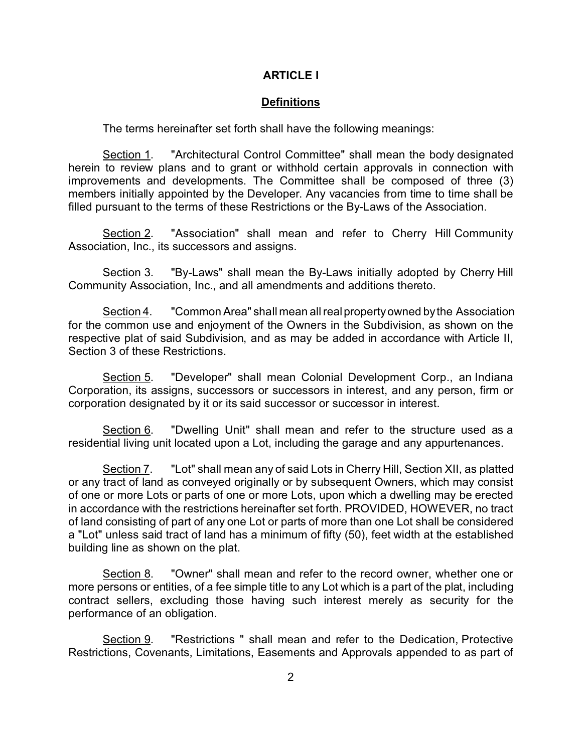## **ARTICLE I**

#### **Definitions**

The terms hereinafter set forth shall have the following meanings:

Section 1. "Architectural Control Committee" shall mean the body designated herein to review plans and to grant or withhold certain approvals in connection with improvements and developments. The Committee shall be composed of three (3) members initially appointed by the Developer. Any vacancies from time to time shall be filled pursuant to the terms of these Restrictions or the By-Laws of the Association.

Section 2. "Association" shall mean and refer to Cherry Hill Community Association, Inc., its successors and assigns.

Section 3. "By-Laws" shall mean the By-Laws initially adopted by Cherry Hill Community Association, Inc., and all amendments and additions thereto.

Section 4. "Common Area" shall mean all real property owned by the Association for the common use and enjoyment of the Owners in the Subdivision, as shown on the respective plat of said Subdivision, and as may be added in accordance with Article II, Section 3 of these Restrictions.

Section 5. "Developer" shall mean Colonial Development Corp., an Indiana Corporation, its assigns, successors or successors in interest, and any person, firm or corporation designated by it or its said successor or successor in interest.

Section 6. "Dwelling Unit" shall mean and refer to the structure used as a residential living unit located upon a Lot, including the garage and any appurtenances.

Section 7. "Lot" shall mean any of said Lots in Cherry Hill, Section XII, as platted or any tract of land as conveyed originally or by subsequent Owners, which may consist of one or more Lots or parts of one or more Lots, upon which a dwelling may be erected in accordance with the restrictions hereinafter set forth. PROVIDED, HOWEVER, no tract of land consisting of part of any one Lot or parts of more than one Lot shall be considered a "Lot" unless said tract of land has a minimum of fifty (50), feet width at the established building line as shown on the plat.

Section 8. "Owner" shall mean and refer to the record owner, whether one or more persons or entities, of a fee simple title to any Lot which is a part of the plat, including contract sellers, excluding those having such interest merely as security for the performance of an obligation.

Section 9. "Restrictions " shall mean and refer to the Dedication, Protective Restrictions, Covenants, Limitations, Easements and Approvals appended to as part of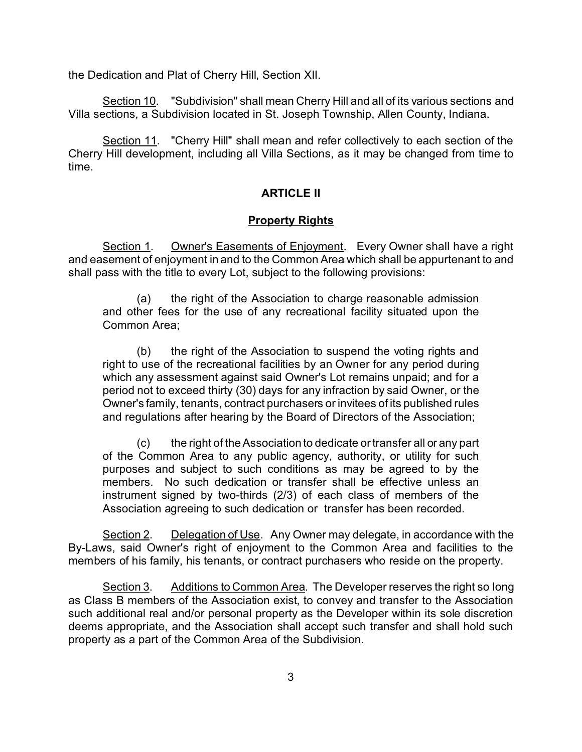the Dedication and Plat of Cherry Hill, Section XII.

Section 10. "Subdivision" shall mean Cherry Hill and all of its various sections and Villa sections, a Subdivision located in St. Joseph Township, Allen County, Indiana.

Section 11. "Cherry Hill" shall mean and refer collectively to each section of the Cherry Hill development, including all Villa Sections, as it may be changed from time to time.

## **ARTICLE II**

### **Property Rights**

Section 1. Owner's Easements of Enjoyment. Every Owner shall have a right and easement of enjoyment in and to the Common Area which shall be appurtenant to and shall pass with the title to every Lot, subject to the following provisions:

(a) the right of the Association to charge reasonable admission and other fees for the use of any recreational facility situated upon the Common Area;

(b) the right of the Association to suspend the voting rights and right to use of the recreational facilities by an Owner for any period during which any assessment against said Owner's Lot remains unpaid; and for a period not to exceed thirty (30) days for any infraction by said Owner, or the Owner's family, tenants, contract purchasers or invitees of its published rules and regulations after hearing by the Board of Directors of the Association;

(c) the right of the Association to dedicate or transfer all or any part of the Common Area to any public agency, authority, or utility for such purposes and subject to such conditions as may be agreed to by the members. No such dedication or transfer shall be effective unless an instrument signed by two-thirds (2/3) of each class of members of the Association agreeing to such dedication or transfer has been recorded.

Section 2. Delegation of Use. Any Owner may delegate, in accordance with the By-Laws, said Owner's right of enjoyment to the Common Area and facilities to the members of his family, his tenants, or contract purchasers who reside on the property.

Section 3. Additions to Common Area. The Developer reserves the right so long as Class B members of the Association exist, to convey and transfer to the Association such additional real and/or personal property as the Developer within its sole discretion deems appropriate, and the Association shall accept such transfer and shall hold such property as a part of the Common Area of the Subdivision.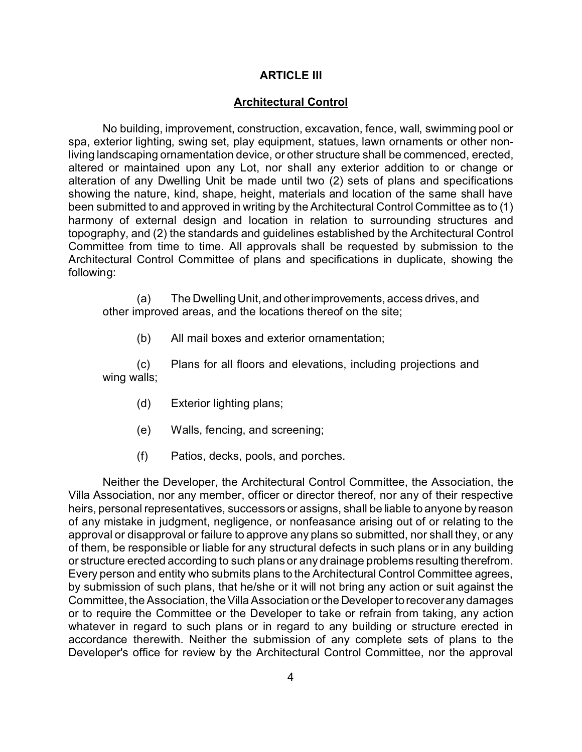#### **ARTICLE III**

#### **Architectural Control**

No building, improvement, construction, excavation, fence, wall, swimming pool or spa, exterior lighting, swing set, play equipment, statues, lawn ornaments or other nonliving landscaping ornamentation device, or other structure shall be commenced, erected, altered or maintained upon any Lot, nor shall any exterior addition to or change or alteration of any Dwelling Unit be made until two (2) sets of plans and specifications showing the nature, kind, shape, height, materials and location of the same shall have been submitted to and approved in writing by the Architectural Control Committee as to (1) harmony of external design and location in relation to surrounding structures and topography, and (2) the standards and guidelines established by the Architectural Control Committee from time to time. All approvals shall be requested by submission to the Architectural Control Committee of plans and specifications in duplicate, showing the following:

(a) The Dwelling Unit, and otherimprovements, access drives, and other improved areas, and the locations thereof on the site;

(b) All mail boxes and exterior ornamentation;

(c) Plans for all floors and elevations, including projections and wing walls;

- (d) Exterior lighting plans;
- (e) Walls, fencing, and screening;
- (f) Patios, decks, pools, and porches.

Neither the Developer, the Architectural Control Committee, the Association, the Villa Association, nor any member, officer or director thereof, nor any of their respective heirs, personal representatives, successors or assigns, shall be liable to anyone by reason of any mistake in judgment, negligence, or nonfeasance arising out of or relating to the approval or disapproval or failure to approve any plans so submitted, nor shall they, or any of them, be responsible or liable for any structural defects in such plans or in any building or structure erected according to such plans or any drainage problems resulting therefrom. Every person and entity who submits plans to the Architectural Control Committee agrees, by submission of such plans, that he/she or it will not bring any action or suit against the Committee, the Association, the Villa Association or the Developer to recover any damages or to require the Committee or the Developer to take or refrain from taking, any action whatever in regard to such plans or in regard to any building or structure erected in accordance therewith. Neither the submission of any complete sets of plans to the Developer's office for review by the Architectural Control Committee, nor the approval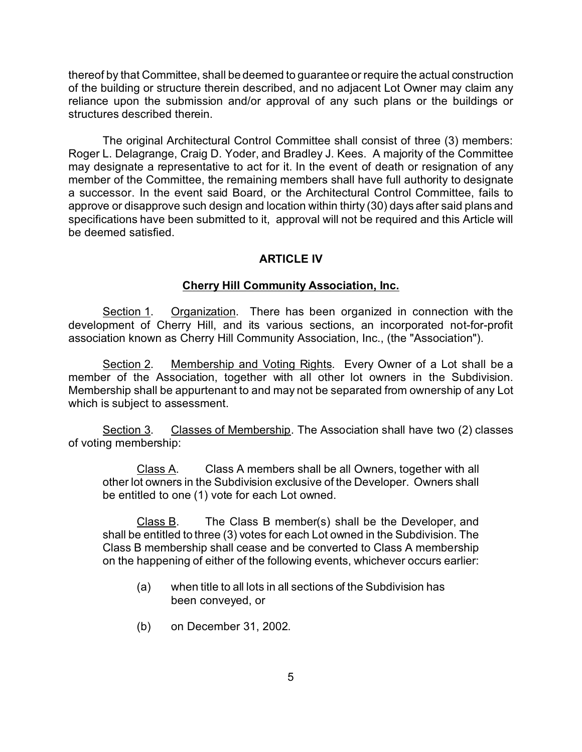thereof by that Committee, shall be deemed to guarantee or require the actual construction of the building or structure therein described, and no adjacent Lot Owner may claim any reliance upon the submission and/or approval of any such plans or the buildings or structures described therein.

The original Architectural Control Committee shall consist of three (3) members: Roger L. Delagrange, Craig D. Yoder, and Bradley J. Kees. A majority of the Committee may designate a representative to act for it. In the event of death or resignation of any member of the Committee, the remaining members shall have full authority to designate a successor. In the event said Board, or the Architectural Control Committee, fails to approve or disapprove such design and location within thirty (30) days after said plans and specifications have been submitted to it, approval will not be required and this Article will be deemed satisfied.

## **ARTICLE IV**

## **Cherry Hill Community Association, Inc.**

Section 1. Organization. There has been organized in connection with the development of Cherry Hill, and its various sections, an incorporated not-for-profit association known as Cherry Hill Community Association, Inc., (the "Association").

Section 2. Membership and Voting Rights. Every Owner of a Lot shall be a member of the Association, together with all other lot owners in the Subdivision. Membership shall be appurtenant to and may not be separated from ownership of any Lot which is subject to assessment.

Section 3. Classes of Membership. The Association shall have two (2) classes of voting membership:

Class A. Class A members shall be all Owners, together with all other lot owners in the Subdivision exclusive of the Developer. Owners shall be entitled to one (1) vote for each Lot owned.

Class B. The Class B member(s) shall be the Developer, and shall be entitled to three (3) votes for each Lot owned in the Subdivision. The Class B membership shall cease and be converted to Class A membership on the happening of either of the following events, whichever occurs earlier:

- (a) when title to all lots in all sections of the Subdivision has been conveyed, or
- (b) on December 31, 2002.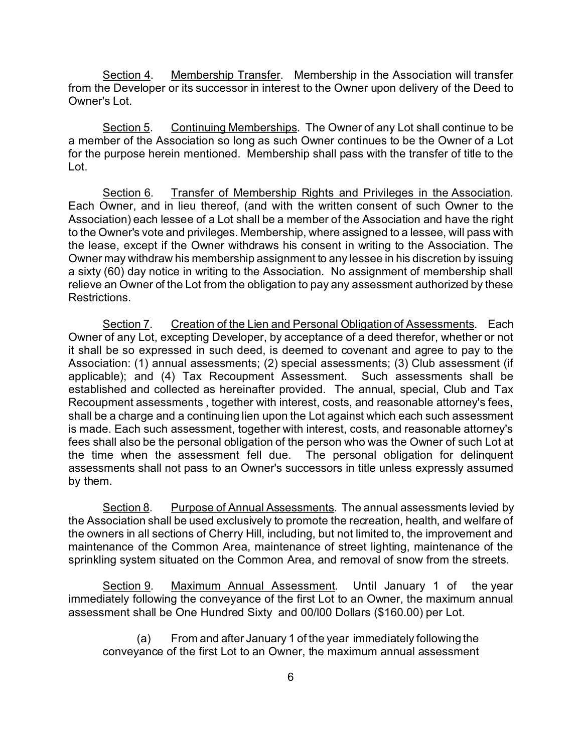Section 4. Membership Transfer. Membership in the Association will transfer from the Developer or its successor in interest to the Owner upon delivery of the Deed to Owner's Lot.

Section 5. Continuing Memberships. The Owner of any Lot shall continue to be a member of the Association so long as such Owner continues to be the Owner of a Lot for the purpose herein mentioned. Membership shall pass with the transfer of title to the Lot.

Section 6. Transfer of Membership Rights and Privileges in the Association. Each Owner, and in lieu thereof, (and with the written consent of such Owner to the Association) each lessee of a Lot shall be a member of the Association and have the right to the Owner's vote and privileges. Membership, where assigned to a lessee, will pass with the lease, except if the Owner withdraws his consent in writing to the Association. The Owner may withdraw his membership assignment to any lessee in his discretion by issuing a sixty (60) day notice in writing to the Association. No assignment of membership shall relieve an Owner of the Lot from the obligation to pay any assessment authorized by these Restrictions.

Section 7. Creation of the Lien and Personal Obligation of Assessments. Each Owner of any Lot, excepting Developer, by acceptance of a deed therefor, whether or not it shall be so expressed in such deed, is deemed to covenant and agree to pay to the Association: (1) annual assessments; (2) special assessments; (3) Club assessment (if applicable); and (4) Tax Recoupment Assessment. Such assessments shall be established and collected as hereinafter provided. The annual, special, Club and Tax Recoupment assessments , together with interest, costs, and reasonable attorney's fees, shall be a charge and a continuing lien upon the Lot against which each such assessment is made. Each such assessment, together with interest, costs, and reasonable attorney's fees shall also be the personal obligation of the person who was the Owner of such Lot at the time when the assessment fell due. The personal obligation for delinquent assessments shall not pass to an Owner's successors in title unless expressly assumed by them.

Section 8. Purpose of Annual Assessments. The annual assessments levied by the Association shall be used exclusively to promote the recreation, health, and welfare of the owners in all sections of Cherry Hill, including, but not limited to, the improvement and maintenance of the Common Area, maintenance of street lighting, maintenance of the sprinkling system situated on the Common Area, and removal of snow from the streets.

Section 9. Maximum Annual Assessment. Until January 1 of the year immediately following the conveyance of the first Lot to an Owner, the maximum annual assessment shall be One Hundred Sixty and 00/l00 Dollars (\$160.00) per Lot.

(a) From and after January 1 of the year immediately following the conveyance of the first Lot to an Owner, the maximum annual assessment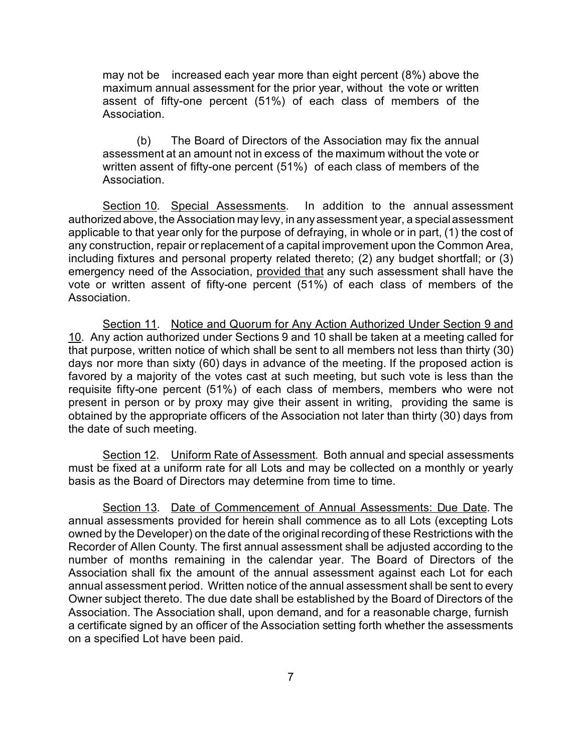may not be increased each year more than eight percent (8%) above the maximum annual assessment for the prior year, without the vote or written assent of fifty-one percent (51%) of each class of members of the Association.

(b) The Board of Directors of the Association may fix the annual assessment at an amount not in excess of the maximum without the vote or written assent of fifty-one percent (51%) of each class of members of the Association.

Section 10. Special Assessments. In addition to the annual assessment authorizedabove, the Association may levy, in any assessment year, a special assessment applicable to that year only for the purpose of defraying, in whole or in part, (1) the cost of any construction, repair or replacement of a capital improvement upon the Common Area, including fixtures and personal property related thereto; (2) any budget shortfall; or (3) emergency need of the Association, provided that any such assessment shall have the vote or written assent of fifty-one percent (51%) of each class of members of the Association.

Section 11. Notice and Quorum for Any Action Authorized Under Section 9 and 10. Any action authorized under Sections 9 and 10 shall be taken at a meeting called for that purpose, written notice of which shall be sent to all members not less than thirty (30) days nor more than sixty (60) days in advance of the meeting. If the proposed action is favored by a majority of the votes cast at such meeting, but such vote is less than the requisite fifty-one percent (51%) of each class of members, members who were not present in person or by proxy may give their assent in writing, providing the same is obtained by the appropriate officers of the Association not later than thirty (30) days from the date of such meeting.

Section 12. Uniform Rate of Assessment. Both annual and special assessments must be fixed at a uniform rate for all Lots and may be collected on a monthly or yearly basis as the Board of Directors may determine from time to time.

Section 13. Date of Commencement of Annual Assessments: Due Date. The annual assessments provided for herein shall commence as to all Lots (excepting Lots owned by the Developer) on the date of the original recording of these Restrictions with the Recorder of Allen County. The first annual assessment shall be adjusted according to the number of months remaining in the calendar year. The Board of Directors of the Association shall fix the amount of the annual assessment against each Lot for each annual assessment period. Written notice of the annual assessment shall be sent to every Owner subject thereto. The due date shall be established by the Board of Directors of the Association. The Association shall, upon demand, and for a reasonable charge, furnish a certificate signed by an officer of the Association setting forth whether the assessments on a specified Lot have been paid.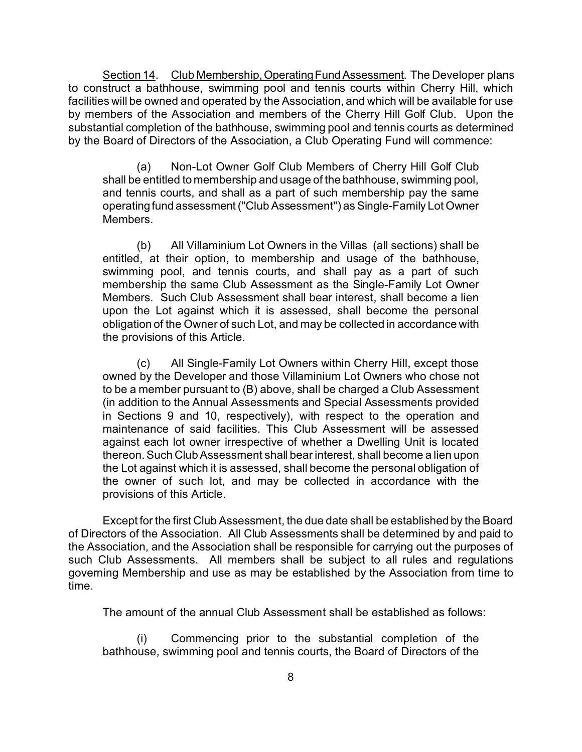Section 14. Club Membership, Operating Fund Assessment. The Developer plans to construct a bathhouse, swimming pool and tennis courts within Cherry Hill, which facilities will be owned and operated by the Association, and which will be available for use by members of the Association and members of the Cherry Hill Golf Club. Upon the substantial completion of the bathhouse, swimming pool and tennis courts as determined by the Board of Directors of the Association, a Club Operating Fund will commence:

(a) Non-Lot Owner Golf Club Members of Cherry Hill Golf Club shall be entitled to membership and usage of the bathhouse, swimming pool, and tennis courts, and shall as a part of such membership pay the same operating fund assessment ("Club Assessment") as Single-Family Lot Owner Members.

(b) All Villaminium Lot Owners in the Villas (all sections) shall be entitled, at their option, to membership and usage of the bathhouse, swimming pool, and tennis courts, and shall pay as a part of such membership the same Club Assessment as the Single-Family Lot Owner Members. Such Club Assessment shall bear interest, shall become a lien upon the Lot against which it is assessed, shall become the personal obligation of the Owner of such Lot, and may be collected in accordance with the provisions of this Article.

(c) All Single-Family Lot Owners within Cherry Hill, except those owned by the Developer and those Villaminium Lot Owners who chose not to be a member pursuant to (B) above, shall be charged a Club Assessment (in addition to the Annual Assessments and Special Assessments provided in Sections 9 and 10, respectively), with respect to the operation and maintenance of said facilities. This Club Assessment will be assessed against each lot owner irrespective of whether a Dwelling Unit is located thereon. Such Club Assessment shall bear interest, shall become a lien upon the Lot against which it is assessed, shall become the personal obligation of the owner of such lot, and may be collected in accordance with the provisions of this Article.

Except for the first Club Assessment, the due date shall be established by the Board of Directors of the Association. All Club Assessments shall be determined by and paid to the Association, and the Association shall be responsible for carrying out the purposes of such Club Assessments. All members shall be subject to all rules and regulations governing Membership and use as may be established by the Association from time to time.

The amount of the annual Club Assessment shall be established as follows:

(i) Commencing prior to the substantial completion of the bathhouse, swimming pool and tennis courts, the Board of Directors of the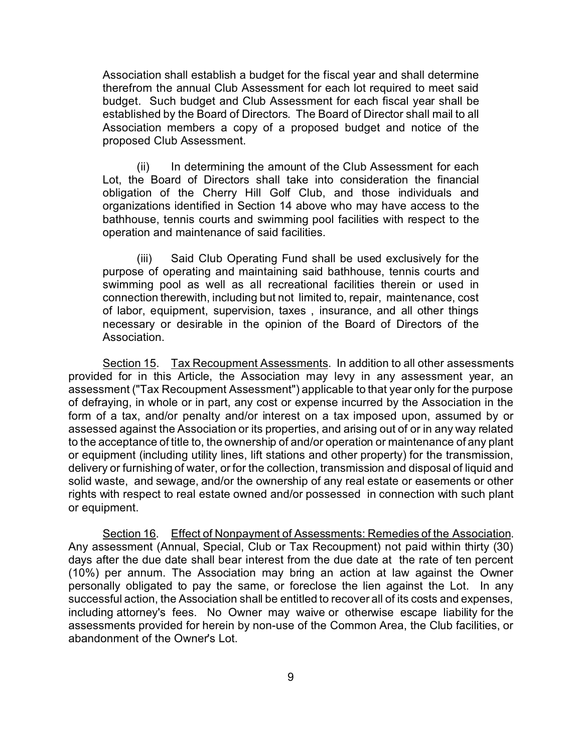Association shall establish a budget for the fiscal year and shall determine therefrom the annual Club Assessment for each lot required to meet said budget. Such budget and Club Assessment for each fiscal year shall be established by the Board of Directors. The Board of Director shall mail to all Association members a copy of a proposed budget and notice of the proposed Club Assessment.

(ii) In determining the amount of the Club Assessment for each Lot, the Board of Directors shall take into consideration the financial obligation of the Cherry Hill Golf Club, and those individuals and organizations identified in Section 14 above who may have access to the bathhouse, tennis courts and swimming pool facilities with respect to the operation and maintenance of said facilities.

(iii) Said Club Operating Fund shall be used exclusively for the purpose of operating and maintaining said bathhouse, tennis courts and swimming pool as well as all recreational facilities therein or used in connection therewith, including but not limited to, repair, maintenance, cost of labor, equipment, supervision, taxes , insurance, and all other things necessary or desirable in the opinion of the Board of Directors of the Association.

Section 15. Tax Recoupment Assessments. In addition to all other assessments provided for in this Article, the Association may levy in any assessment year, an assessment ("Tax Recoupment Assessment") applicable to that year only for the purpose of defraying, in whole or in part, any cost or expense incurred by the Association in the form of a tax, and/or penalty and/or interest on a tax imposed upon, assumed by or assessed against the Association or its properties, and arising out of or in any way related to the acceptance of title to, the ownership of and/or operation or maintenance of any plant or equipment (including utility lines, lift stations and other property) for the transmission, delivery or furnishing of water, or for the collection, transmission and disposal of liquid and solid waste, and sewage, and/or the ownership of any real estate or easements or other rights with respect to real estate owned and/or possessed in connection with such plant or equipment.

Section 16. Effect of Nonpayment of Assessments: Remedies of the Association. Any assessment (Annual, Special, Club or Tax Recoupment) not paid within thirty (30) days after the due date shall bear interest from the due date at the rate of ten percent (10%) per annum. The Association may bring an action at law against the Owner personally obligated to pay the same, or foreclose the lien against the Lot. In any successful action, the Association shall be entitled to recover all of its costs and expenses, including attorney's fees. No Owner may waive or otherwise escape liability for the assessments provided for herein by non-use of the Common Area, the Club facilities, or abandonment of the Owner's Lot.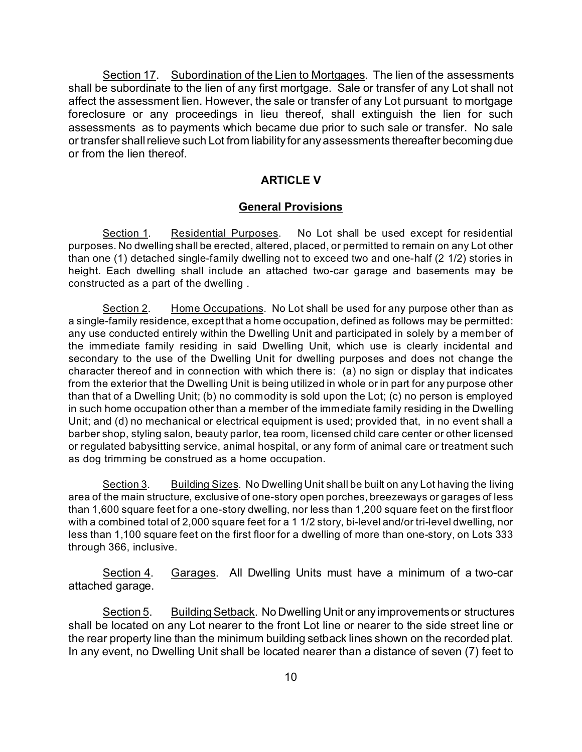Section 17. Subordination of the Lien to Mortgages. The lien of the assessments shall be subordinate to the lien of any first mortgage. Sale or transfer of any Lot shall not affect the assessment lien. However, the sale or transfer of any Lot pursuant to mortgage foreclosure or any proceedings in lieu thereof, shall extinguish the lien for such assessments as to payments which became due prior to such sale or transfer. No sale or transfer shall relieve such Lot from liability for any assessments thereafter becoming due or from the lien thereof.

#### **ARTICLE V**

#### **General Provisions**

Section 1. Residential Purposes. No Lot shall be used except for residential purposes. No dwelling shall be erected, altered, placed, or permitted to remain on any Lot other than one (1) detached single-family dwelling not to exceed two and one-half (2 1/2) stories in height. Each dwelling shall include an attached two-car garage and basements may be constructed as a part of the dwelling .

Section 2. Home Occupations. No Lot shall be used for any purpose other than as a single-family residence, except that a home occupation, defined as follows may be permitted: any use conducted entirely within the Dwelling Unit and participated in solely by a member of the immediate family residing in said Dwelling Unit, which use is clearly incidental and secondary to the use of the Dwelling Unit for dwelling purposes and does not change the character thereof and in connection with which there is: (a) no sign or display that indicates from the exterior that the Dwelling Unit is being utilized in whole or in part for any purpose other than that of a Dwelling Unit; (b) no commodity is sold upon the Lot; (c) no person is employed in such home occupation other than a member of the immediate family residing in the Dwelling Unit; and (d) no mechanical or electrical equipment is used; provided that, in no event shall a barber shop, styling salon, beauty parlor, tea room, licensed child care center or other licensed or regulated babysitting service, animal hospital, or any form of animal care or treatment such as dog trimming be construed as a home occupation.

Section 3. Building Sizes. No Dwelling Unit shall be built on any Lot having the living area of the main structure, exclusive of one-story open porches, breezeways or garages of less than 1,600 square feet for a one-story dwelling, nor less than 1,200 square feet on the first floor with a combined total of 2,000 square feet for a 1 1/2 story, bi-level and/or tri-level dwelling, nor less than 1,100 square feet on the first floor for a dwelling of more than one-story, on Lots 333 through 366, inclusive.

Section 4. Garages. All Dwelling Units must have a minimum of a two-car attached garage.

Section 5. Building Setback. No Dwelling Unit or any improvements or structures shall be located on any Lot nearer to the front Lot line or nearer to the side street line or the rear property line than the minimum building setback lines shown on the recorded plat. In any event, no Dwelling Unit shall be located nearer than a distance of seven (7) feet to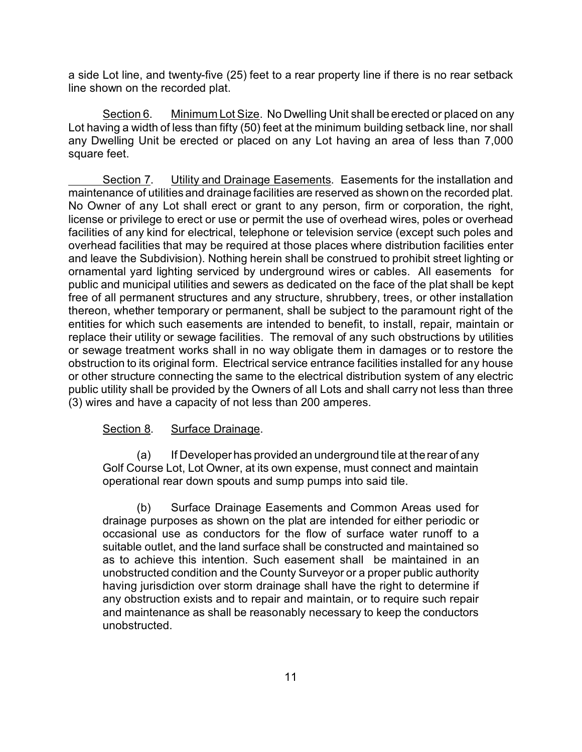a side Lot line, and twenty-five (25) feet to a rear property line if there is no rear setback line shown on the recorded plat.

Section 6. Minimum Lot Size. No Dwelling Unit shall be erected or placed on any Lot having a width of less than fifty (50) feet at the minimum building setback line, nor shall any Dwelling Unit be erected or placed on any Lot having an area of less than 7,000 square feet.

Section 7. Utility and Drainage Easements. Easements for the installation and maintenance of utilities and drainage facilities are reserved as shown on the recorded plat. No Owner of any Lot shall erect or grant to any person, firm or corporation, the right, license or privilege to erect or use or permit the use of overhead wires, poles or overhead facilities of any kind for electrical, telephone or television service (except such poles and overhead facilities that may be required at those places where distribution facilities enter and leave the Subdivision). Nothing herein shall be construed to prohibit street lighting or ornamental yard lighting serviced by underground wires or cables. All easements for public and municipal utilities and sewers as dedicated on the face of the plat shall be kept free of all permanent structures and any structure, shrubbery, trees, or other installation thereon, whether temporary or permanent, shall be subject to the paramount right of the entities for which such easements are intended to benefit, to install, repair, maintain or replace their utility or sewage facilities. The removal of any such obstructions by utilities or sewage treatment works shall in no way obligate them in damages or to restore the obstruction to its original form. Electrical service entrance facilities installed for any house or other structure connecting the same to the electrical distribution system of any electric public utility shall be provided by the Owners of all Lots and shall carry not less than three (3) wires and have a capacity of not less than 200 amperes.

## Section 8. Surface Drainage.

(a) If Developer has provided an underground tile at the rear of any Golf Course Lot, Lot Owner, at its own expense, must connect and maintain operational rear down spouts and sump pumps into said tile.

(b) Surface Drainage Easements and Common Areas used for drainage purposes as shown on the plat are intended for either periodic or occasional use as conductors for the flow of surface water runoff to a suitable outlet, and the land surface shall be constructed and maintained so as to achieve this intention. Such easement shall be maintained in an unobstructed condition and the County Surveyor or a proper public authority having jurisdiction over storm drainage shall have the right to determine if any obstruction exists and to repair and maintain, or to require such repair and maintenance as shall be reasonably necessary to keep the conductors unobstructed.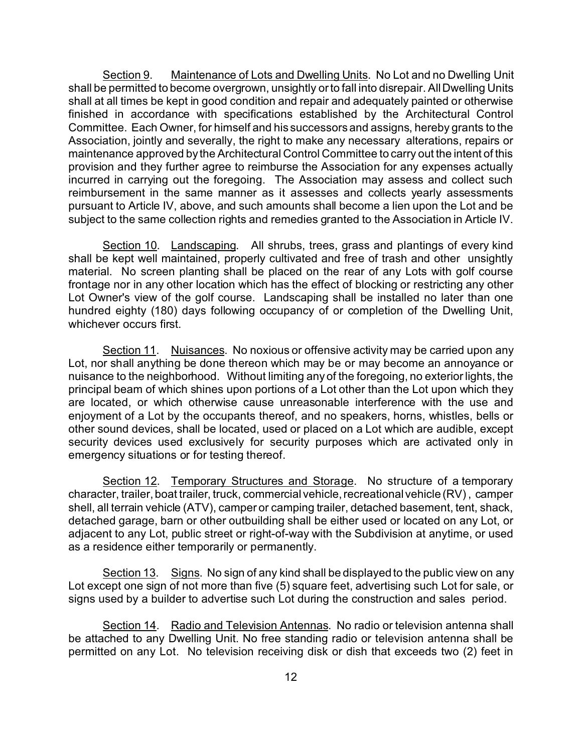Section 9. Maintenance of Lots and Dwelling Units. No Lot and no Dwelling Unit shall be permitted to become overgrown, unsightly or to fall into disrepair. All Dwelling Units shall at all times be kept in good condition and repair and adequately painted or otherwise finished in accordance with specifications established by the Architectural Control Committee. Each Owner, for himself and his successors and assigns, hereby grants to the Association, jointly and severally, the right to make any necessary alterations, repairs or maintenance approved by the Architectural Control Committee to carry out the intent of this provision and they further agree to reimburse the Association for any expenses actually incurred in carrying out the foregoing. The Association may assess and collect such reimbursement in the same manner as it assesses and collects yearly assessments pursuant to Article IV, above, and such amounts shall become a lien upon the Lot and be subject to the same collection rights and remedies granted to the Association in Article IV.

Section 10. Landscaping. All shrubs, trees, grass and plantings of every kind shall be kept well maintained, properly cultivated and free of trash and other unsightly material. No screen planting shall be placed on the rear of any Lots with golf course frontage nor in any other location which has the effect of blocking or restricting any other Lot Owner's view of the golf course. Landscaping shall be installed no later than one hundred eighty (180) days following occupancy of or completion of the Dwelling Unit, whichever occurs first.

Section 11. Nuisances. No noxious or offensive activity may be carried upon any Lot, nor shall anything be done thereon which may be or may become an annoyance or nuisance to the neighborhood. Without limiting any of the foregoing, no exterior lights, the principal beam of which shines upon portions of a Lot other than the Lot upon which they are located, or which otherwise cause unreasonable interference with the use and enjoyment of a Lot by the occupants thereof, and no speakers, horns, whistles, bells or other sound devices, shall be located, used or placed on a Lot which are audible, except security devices used exclusively for security purposes which are activated only in emergency situations or for testing thereof.

Section 12. Temporary Structures and Storage. No structure of a temporary character, trailer, boat trailer, truck, commercial vehicle, recreational vehicle (RV) , camper shell, all terrain vehicle (ATV), camper or camping trailer, detached basement, tent, shack, detached garage, barn or other outbuilding shall be either used or located on any Lot, or adiacent to any Lot, public street or right-of-way with the Subdivision at anytime, or used as a residence either temporarily or permanently.

Section 13. Signs. No sign of any kind shall be displayed to the public view on any Lot except one sign of not more than five (5) square feet, advertising such Lot for sale, or signs used by a builder to advertise such Lot during the construction and sales period.

Section 14. Radio and Television Antennas. No radio or television antenna shall be attached to any Dwelling Unit. No free standing radio or television antenna shall be permitted on any Lot. No television receiving disk or dish that exceeds two (2) feet in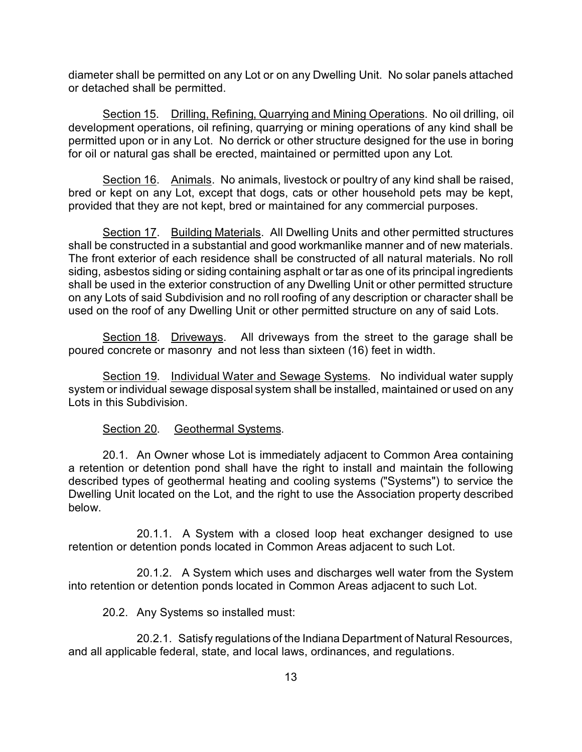diameter shall be permitted on any Lot or on any Dwelling Unit. No solar panels attached or detached shall be permitted.

Section 15. Drilling, Refining, Quarrying and Mining Operations. No oil drilling, oil development operations, oil refining, quarrying or mining operations of any kind shall be permitted upon or in any Lot. No derrick or other structure designed for the use in boring for oil or natural gas shall be erected, maintained or permitted upon any Lot.

Section 16. Animals. No animals, livestock or poultry of any kind shall be raised, bred or kept on any Lot, except that dogs, cats or other household pets may be kept, provided that they are not kept, bred or maintained for any commercial purposes.

Section 17. Building Materials. All Dwelling Units and other permitted structures shall be constructed in a substantial and good workmanlike manner and of new materials. The front exterior of each residence shall be constructed of all natural materials. No roll siding, asbestos siding or siding containing asphalt or tar as one of its principal ingredients shall be used in the exterior construction of any Dwelling Unit or other permitted structure on any Lots of said Subdivision and no roll roofing of any description or character shall be used on the roof of any Dwelling Unit or other permitted structure on any of said Lots.

Section 18. Driveways. All driveways from the street to the garage shall be poured concrete or masonry and not less than sixteen (16) feet in width.

Section 19. Individual Water and Sewage Systems. No individual water supply system or individual sewage disposal system shall be installed, maintained or used on any Lots in this Subdivision.

#### Section 20. Geothermal Systems.

20.1. An Owner whose Lot is immediately adjacent to Common Area containing a retention or detention pond shall have the right to install and maintain the following described types of geothermal heating and cooling systems ("Systems") to service the Dwelling Unit located on the Lot, and the right to use the Association property described below.

20.1.1. A System with a closed loop heat exchanger designed to use retention or detention ponds located in Common Areas adjacent to such Lot.

20.1.2. A System which uses and discharges well water from the System into retention or detention ponds located in Common Areas adjacent to such Lot.

20.2. Any Systems so installed must:

20.2.1. Satisfy regulations of the Indiana Department of Natural Resources, and all applicable federal, state, and local laws, ordinances, and regulations.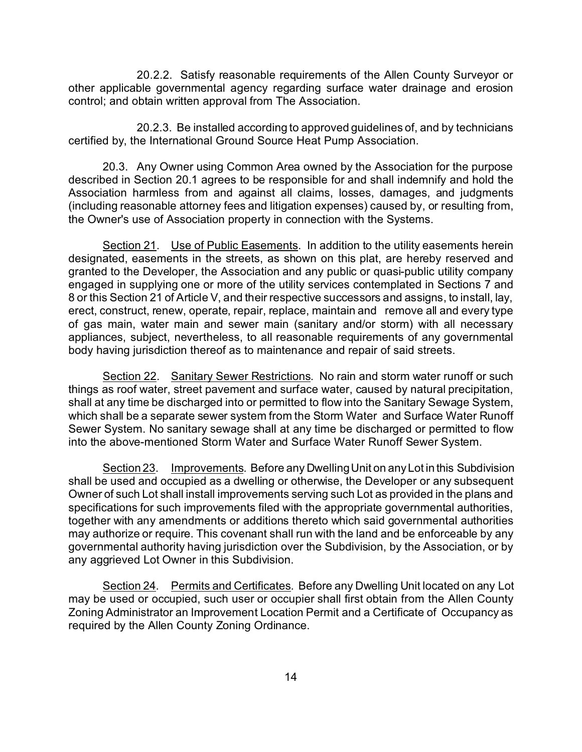20.2.2. Satisfy reasonable requirements of the Allen County Surveyor or other applicable governmental agency regarding surface water drainage and erosion control; and obtain written approval from The Association.

20.2.3. Be installed according to approved guidelines of, and by technicians certified by, the International Ground Source Heat Pump Association.

20.3. Any Owner using Common Area owned by the Association for the purpose described in Section 20.1 agrees to be responsible for and shall indemnify and hold the Association harmless from and against all claims, losses, damages, and judgments (including reasonable attorney fees and litigation expenses) caused by, or resulting from, the Owner's use of Association property in connection with the Systems.

Section 21. Use of Public Easements. In addition to the utility easements herein designated, easements in the streets, as shown on this plat, are hereby reserved and granted to the Developer, the Association and any public or quasi-public utility company engaged in supplying one or more of the utility services contemplated in Sections 7 and 8 or this Section 21 of Article V, and their respective successors and assigns, to install, lay, erect, construct, renew, operate, repair, replace, maintain and remove all and every type of gas main, water main and sewer main (sanitary and/or storm) with all necessary appliances, subject, nevertheless, to all reasonable requirements of any governmental body having jurisdiction thereof as to maintenance and repair of said streets.

Section 22. Sanitary Sewer Restrictions. No rain and storm water runoff or such things as roof water, street pavement and surface water, caused by natural precipitation, shall at any time be discharged into or permitted to flow into the Sanitary Sewage System, which shall be a separate sewer system from the Storm Water and Surface Water Runoff Sewer System. No sanitary sewage shall at any time be discharged or permitted to flow into the above-mentioned Storm Water and Surface Water Runoff Sewer System.

Section 23. Improvements. Before any Dwelling Unit on any Lot in this Subdivision shall be used and occupied as a dwelling or otherwise, the Developer or any subsequent Owner of such Lot shall install improvements serving such Lot as provided in the plans and specifications for such improvements filed with the appropriate governmental authorities, together with any amendments or additions thereto which said governmental authorities may authorize or require. This covenant shall run with the land and be enforceable by any governmental authority having jurisdiction over the Subdivision, by the Association, or by any aggrieved Lot Owner in this Subdivision.

Section 24. Permits and Certificates. Before any Dwelling Unit located on any Lot may be used or occupied, such user or occupier shall first obtain from the Allen County Zoning Administrator an Improvement Location Permit and a Certificate of Occupancy as required by the Allen County Zoning Ordinance.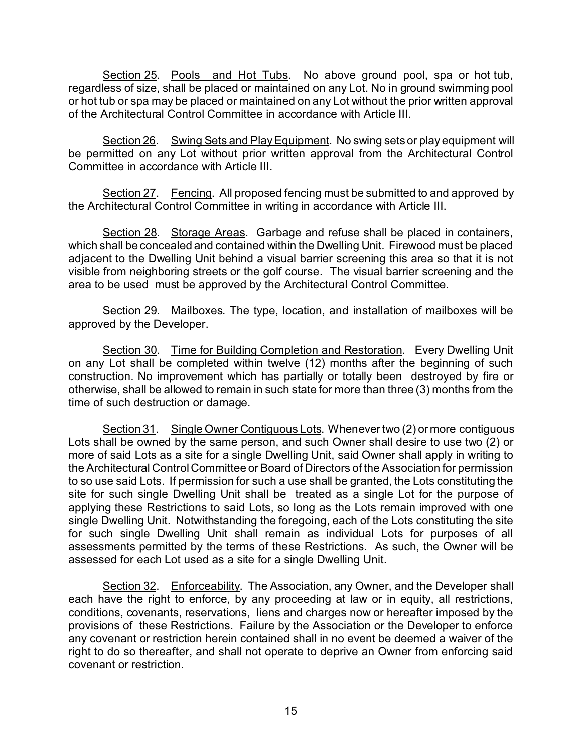Section 25. Pools and Hot Tubs. No above ground pool, spa or hot tub, regardless of size, shall be placed or maintained on any Lot. No in ground swimming pool or hot tub or spa may be placed or maintained on any Lot without the prior written approval of the Architectural Control Committee in accordance with Article III.

Section 26. Swing Sets and Play Equipment. No swing sets or play equipment will be permitted on any Lot without prior written approval from the Architectural Control Committee in accordance with Article III.

Section 27. Fencing. All proposed fencing must be submitted to and approved by the Architectural Control Committee in writing in accordance with Article III.

Section 28. Storage Areas. Garbage and refuse shall be placed in containers, which shall be concealed and contained within the Dwelling Unit. Firewood must be placed adjacent to the Dwelling Unit behind a visual barrier screening this area so that it is not visible from neighboring streets or the golf course. The visual barrier screening and the area to be used must be approved by the Architectural Control Committee.

Section 29. Mailboxes. The type, location, and installation of mailboxes will be approved by the Developer.

Section 30. Time for Building Completion and Restoration. Every Dwelling Unit on any Lot shall be completed within twelve (12) months after the beginning of such construction. No improvement which has partially or totally been destroyed by fire or otherwise, shall be allowed to remain in such state for more than three (3) months from the time of such destruction or damage.

Section 31. Single Owner Contiguous Lots. Whenever two (2) or more contiguous Lots shall be owned by the same person, and such Owner shall desire to use two (2) or more of said Lots as a site for a single Dwelling Unit, said Owner shall apply in writing to the Architectural Control Committee or Board of Directors of the Association for permission to so use said Lots. If permission for such a use shall be granted, the Lots constituting the site for such single Dwelling Unit shall be treated as a single Lot for the purpose of applying these Restrictions to said Lots, so long as the Lots remain improved with one single Dwelling Unit. Notwithstanding the foregoing, each of the Lots constituting the site for such single Dwelling Unit shall remain as individual Lots for purposes of all assessments permitted by the terms of these Restrictions. As such, the Owner will be assessed for each Lot used as a site for a single Dwelling Unit.

Section 32. Enforceability. The Association, any Owner, and the Developer shall each have the right to enforce, by any proceeding at law or in equity, all restrictions, conditions, covenants, reservations, liens and charges now or hereafter imposed by the provisions of these Restrictions. Failure by the Association or the Developer to enforce any covenant or restriction herein contained shall in no event be deemed a waiver of the right to do so thereafter, and shall not operate to deprive an Owner from enforcing said covenant or restriction.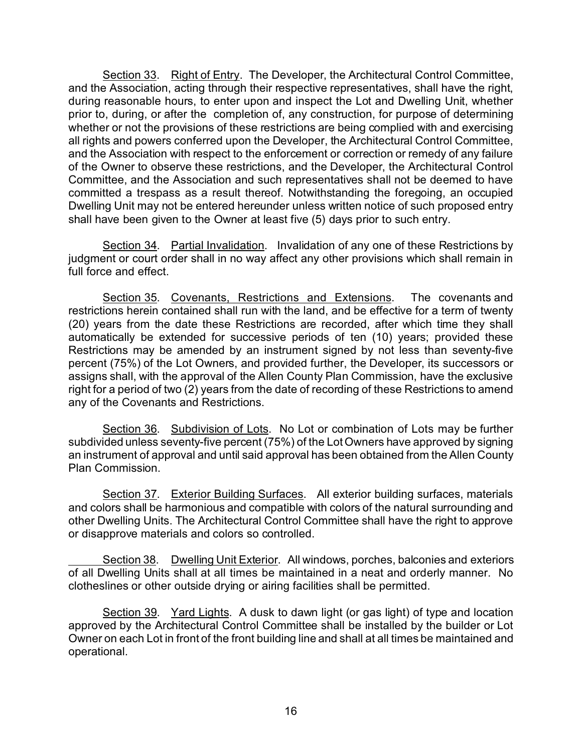Section 33. Right of Entry. The Developer, the Architectural Control Committee, and the Association, acting through their respective representatives, shall have the right, during reasonable hours, to enter upon and inspect the Lot and Dwelling Unit, whether prior to, during, or after the completion of, any construction, for purpose of determining whether or not the provisions of these restrictions are being complied with and exercising all rights and powers conferred upon the Developer, the Architectural Control Committee, and the Association with respect to the enforcement or correction or remedy of any failure of the Owner to observe these restrictions, and the Developer, the Architectural Control Committee, and the Association and such representatives shall not be deemed to have committed a trespass as a result thereof. Notwithstanding the foregoing, an occupied Dwelling Unit may not be entered hereunder unless written notice of such proposed entry shall have been given to the Owner at least five (5) days prior to such entry.

Section 34. Partial Invalidation. Invalidation of any one of these Restrictions by judgment or court order shall in no way affect any other provisions which shall remain in full force and effect.

Section 35. Covenants, Restrictions and Extensions. The covenants and restrictions herein contained shall run with the land, and be effective for a term of twenty (20) years from the date these Restrictions are recorded, after which time they shall automatically be extended for successive periods of ten (10) years; provided these Restrictions may be amended by an instrument signed by not less than seventy-five percent (75%) of the Lot Owners, and provided further, the Developer, its successors or assigns shall, with the approval of the Allen County Plan Commission, have the exclusive right for a period of two (2) years from the date of recording of these Restrictions to amend any of the Covenants and Restrictions.

Section 36. Subdivision of Lots. No Lot or combination of Lots may be further subdivided unless seventy-five percent (75%) of the Lot Owners have approved by signing an instrument of approval and until said approval has been obtained from the Allen County Plan Commission.

Section 37. Exterior Building Surfaces. All exterior building surfaces, materials and colors shall be harmonious and compatible with colors of the natural surrounding and other Dwelling Units. The Architectural Control Committee shall have the right to approve or disapprove materials and colors so controlled.

Section 38. Dwelling Unit Exterior. All windows, porches, balconies and exteriors of all Dwelling Units shall at all times be maintained in a neat and orderly manner. No clotheslines or other outside drying or airing facilities shall be permitted.

Section 39. Yard Lights. A dusk to dawn light (or gas light) of type and location approved by the Architectural Control Committee shall be installed by the builder or Lot Owner on each Lot in front of the front building line and shall at all times be maintained and operational.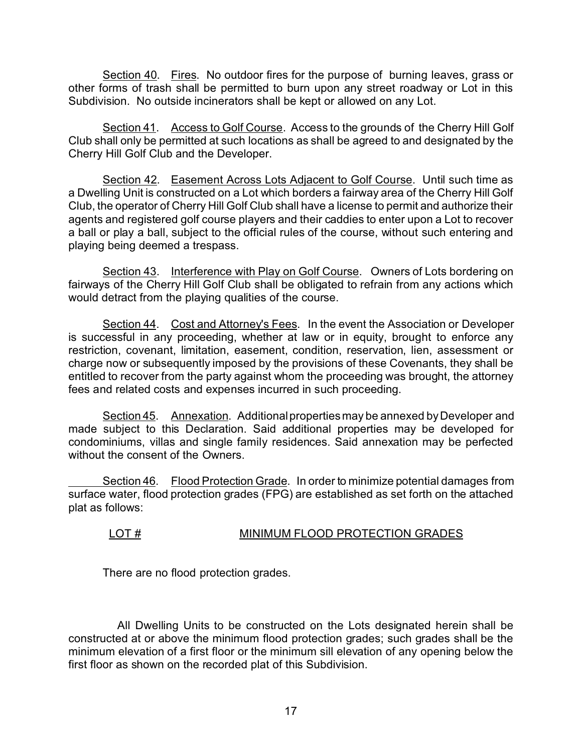Section 40. Fires. No outdoor fires for the purpose of burning leaves, grass or other forms of trash shall be permitted to burn upon any street roadway or Lot in this Subdivision. No outside incinerators shall be kept or allowed on any Lot.

Section 41. Access to Golf Course. Access to the grounds of the Cherry Hill Golf Club shall only be permitted at such locations as shall be agreed to and designated by the Cherry Hill Golf Club and the Developer.

Section 42. Easement Across Lots Adjacent to Golf Course. Until such time as a Dwelling Unit is constructed on a Lot which borders a fairway area of the Cherry Hill Golf Club, the operator of Cherry Hill Golf Club shall have a license to permit and authorize their agents and registered golf course players and their caddies to enter upon a Lot to recover a ball or play a ball, subject to the official rules of the course, without such entering and playing being deemed a trespass.

Section 43. Interference with Play on Golf Course. Owners of Lots bordering on fairways of the Cherry Hill Golf Club shall be obligated to refrain from any actions which would detract from the playing qualities of the course.

Section 44. Cost and Attorney's Fees. In the event the Association or Developer is successful in any proceeding, whether at law or in equity, brought to enforce any restriction, covenant, limitation, easement, condition, reservation, lien, assessment or charge now or subsequently imposed by the provisions of these Covenants, they shall be entitled to recover from the party against whom the proceeding was brought, the attorney fees and related costs and expenses incurred in such proceeding.

Section 45. Annexation. Additional properties may be annexed by Developer and made subject to this Declaration. Said additional properties may be developed for condominiums, villas and single family residences. Said annexation may be perfected without the consent of the Owners.

Section 46. Flood Protection Grade. In order to minimize potential damages from surface water, flood protection grades (FPG) are established as set forth on the attached plat as follows:

## LOT # MINIMUM FLOOD PROTECTION GRADES

There are no flood protection grades.

 All Dwelling Units to be constructed on the Lots designated herein shall be constructed at or above the minimum flood protection grades; such grades shall be the minimum elevation of a first floor or the minimum sill elevation of any opening below the first floor as shown on the recorded plat of this Subdivision.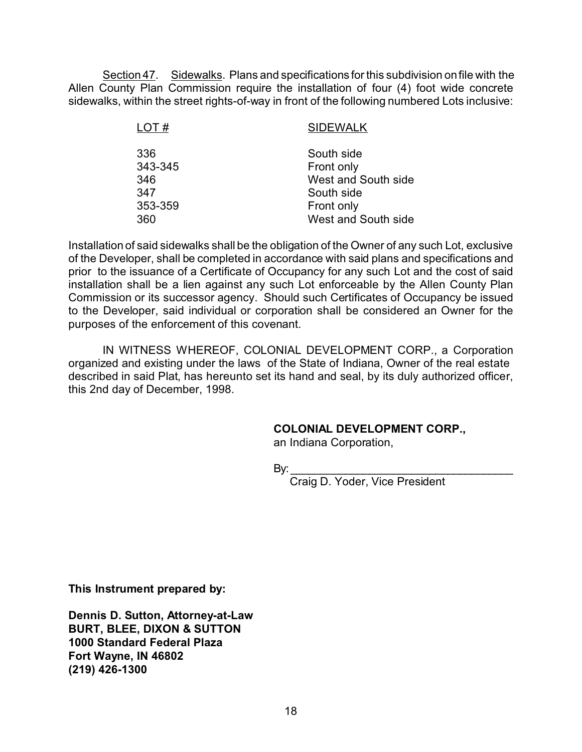Section 47. Sidewalks. Plans and specifications for this subdivision on file with the Allen County Plan Commission require the installation of four (4) foot wide concrete sidewalks, within the street rights-of-way in front of the following numbered Lots inclusive:

| LOT#    | <b>SIDEWALK</b>     |
|---------|---------------------|
| 336     | South side          |
| 343-345 | Front only          |
| 346     | West and South side |
| 347     | South side          |
| 353-359 | Front only          |
| 360     | West and South side |

Installation of said sidewalks shall be the obligation of the Owner of any such Lot, exclusive of the Developer, shall be completed in accordance with said plans and specifications and prior to the issuance of a Certificate of Occupancy for any such Lot and the cost of said installation shall be a lien against any such Lot enforceable by the Allen County Plan Commission or its successor agency. Should such Certificates of Occupancy be issued to the Developer, said individual or corporation shall be considered an Owner for the purposes of the enforcement of this covenant.

IN WITNESS WHEREOF, COLONIAL DEVELOPMENT CORP., a Corporation organized and existing under the laws of the State of Indiana, Owner of the real estate described in said Plat, has hereunto set its hand and seal, by its duly authorized officer, this 2nd day of December, 1998.

#### **COLONIAL DEVELOPMENT CORP.,**

an Indiana Corporation,

By:\_\_\_\_\_\_\_\_\_\_\_\_\_\_\_\_\_\_\_\_\_\_\_\_\_\_\_\_\_\_\_\_\_\_\_\_\_

Craig D. Yoder, Vice President

**This Instrument prepared by:**

**Dennis D. Sutton, Attorney-at-Law BURT, BLEE, DIXON & SUTTON 1000 Standard Federal Plaza Fort Wayne, IN 46802 (219) 426-1300**